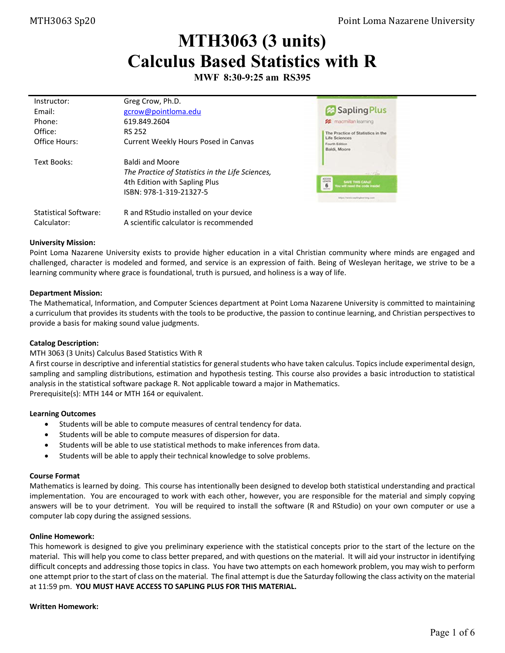# **MTH3063 (3 units) Calculus Based Statistics with R**

**MWF 8:30-9:25 am RS395** 

| Instructor:                  | Greg Crow, Ph.D.                                 |                                                                       |
|------------------------------|--------------------------------------------------|-----------------------------------------------------------------------|
| Fmail:                       | gcrow@pointloma.edu                              | Sapling Plus                                                          |
| Phone:                       | 619.849.2604                                     | <b>22</b> macmillan learning                                          |
| Office:                      | <b>RS 252</b>                                    | The Practice of Statistics in the                                     |
| Office Hours:                | Current Weekly Hours Posed in Canvas             | Life Sciences<br>Fourth Edition<br>Baldi, Moore                       |
| Text Books:                  | <b>Baldi and Moore</b>                           |                                                                       |
|                              | The Practice of Statistics in the Life Sciences, | $-1 - 10$                                                             |
|                              | 4th Edition with Sapling Plus                    | ADDESS<br><b>SAVE THIS CAND</b><br>6<br>fou will need the code inside |
|                              | ISBN: 978-1-319-21327-5                          | <b>Motor</b><br>SELECT www.saphrgleamany.com                          |
| <b>Statistical Software:</b> | R and RStudio installed on your device           |                                                                       |
| Calculator:                  | A scientific calculator is recommended           |                                                                       |

## **University Mission:**

Point Loma Nazarene University exists to provide higher education in a vital Christian community where minds are engaged and challenged, character is modeled and formed, and service is an expression of faith. Being of Wesleyan heritage, we strive to be a learning community where grace is foundational, truth is pursued, and holiness is a way of life.

# **Department Mission:**

The Mathematical, Information, and Computer Sciences department at Point Loma Nazarene University is committed to maintaining a curriculum that provides its students with the tools to be productive, the passion to continue learning, and Christian perspectives to provide a basis for making sound value judgments.

# **Catalog Description:**

# MTH 3063 (3 Units) Calculus Based Statistics With R

A first course in descriptive and inferential statistics for general students who have taken calculus. Topics include experimental design, sampling and sampling distributions, estimation and hypothesis testing. This course also provides a basic introduction to statistical analysis in the statistical software package R. Not applicable toward a major in Mathematics. Prerequisite(s): MTH 144 or MTH 164 or equivalent.

### **Learning Outcomes**

- Students will be able to compute measures of central tendency for data.
- Students will be able to compute measures of dispersion for data.
- Students will be able to use statistical methods to make inferences from data.
- Students will be able to apply their technical knowledge to solve problems.

### **Course Format**

Mathematics is learned by doing. This course has intentionally been designed to develop both statistical understanding and practical implementation. You are encouraged to work with each other, however, you are responsible for the material and simply copying answers will be to your detriment. You will be required to install the software (R and RStudio) on your own computer or use a computer lab copy during the assigned sessions.

### **Online Homework:**

This homework is designed to give you preliminary experience with the statistical concepts prior to the start of the lecture on the material. This will help you come to class better prepared, and with questions on the material. It will aid your instructor in identifying difficult concepts and addressing those topics in class. You have two attempts on each homework problem, you may wish to perform one attempt prior to the start of class on the material. The final attempt is due the Saturday following the class activity on the material at 11:59 pm. **YOU MUST HAVE ACCESS TO SAPLING PLUS FOR THIS MATERIAL.**

### **Written Homework:**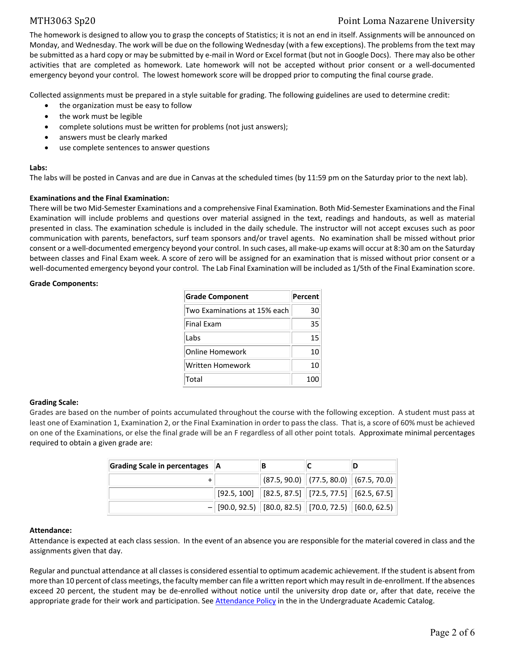# MTH3063 Sp20 Point Loma Nazarene University

The homework is designed to allow you to grasp the concepts of Statistics; it is not an end in itself. Assignments will be announced on Monday, and Wednesday. The work will be due on the following Wednesday (with a few exceptions). The problems from the text may be submitted as a hard copy or may be submitted by e-mail in Word or Excel format (but not in Google Docs). There may also be other activities that are completed as homework. Late homework will not be accepted without prior consent or a well‐documented emergency beyond your control. The lowest homework score will be dropped prior to computing the final course grade.

Collected assignments must be prepared in a style suitable for grading. The following guidelines are used to determine credit:

- the organization must be easy to follow
- the work must be legible
- complete solutions must be written for problems (not just answers);
- answers must be clearly marked
- use complete sentences to answer questions

## **Labs:**

The labs will be posted in Canvas and are due in Canvas at the scheduled times (by 11:59 pm on the Saturday prior to the next lab).

# **Examinations and the Final Examination:**

There will be two Mid‐Semester Examinations and a comprehensive Final Examination. Both Mid‐Semester Examinations and the Final Examination will include problems and questions over material assigned in the text, readings and handouts, as well as material presented in class. The examination schedule is included in the daily schedule. The instructor will not accept excuses such as poor communication with parents, benefactors, surf team sponsors and/or travel agents. No examination shall be missed without prior consent or a well‐documented emergency beyond your control. In such cases, all make‐up exams will occur at 8:30 am on the Saturday between classes and Final Exam week. A score of zero will be assigned for an examination that is missed without prior consent or a well-documented emergency beyond your control. The Lab Final Examination will be included as 1/5th of the Final Examination score.

## **Grade Components:**

| <b>Grade Component</b>       | Percent |
|------------------------------|---------|
| Two Examinations at 15% each | 30      |
| <b>Final Exam</b>            | 35.     |
| Labs                         | 15      |
| Online Homework              | 10      |
| Written Homework             | 10      |
| Total                        | 10      |

# **Grading Scale:**

Grades are based on the number of points accumulated throughout the course with the following exception. A student must pass at least one of Examination 1, Examination 2, or the Final Examination in order to pass the class. That is, a score of 60% must be achieved on one of the Examinations, or else the final grade will be an F regardless of all other point totals. Approximate minimal percentages required to obtain a given grade are:

| Grading Scale in percentages   A |                                                          |  |                                                                                       |
|----------------------------------|----------------------------------------------------------|--|---------------------------------------------------------------------------------------|
|                                  |                                                          |  | $\ $ (87.5, 90.0) $\ $ (77.5, 80.0) $\ $ (67.5, 70.0) $\ $                            |
|                                  |                                                          |  | $\mid$ [92.5, 100] $\mid$ [82.5, 87.5] $\mid$ [72.5, 77.5] $\mid$ [62.5, 67.5] $\mid$ |
|                                  | $-$ [90.0, 92.5) [80.0, 82.5) [70.0, 72.5) [60.0, 62.5)] |  |                                                                                       |

### **Attendance:**

Attendance is expected at each class session. In the event of an absence you are responsible for the material covered in class and the assignments given that day.

Regular and punctual attendance at all classes is considered essential to optimum academic achievement. If the student is absent from more than 10 percent of class meetings, the faculty member can file a written report which may result in de‐enrollment. If the absences exceed 20 percent, the student may be de‐enrolled without notice until the university drop date or, after that date, receive the appropriate grade for their work and participation. See Attendance Policy in the in the Undergraduate Academic Catalog.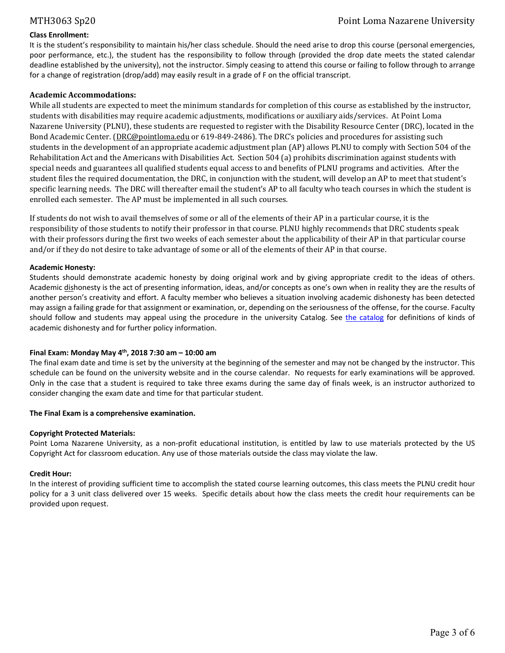# **Class Enrollment:**

It is the student's responsibility to maintain his/her class schedule. Should the need arise to drop this course (personal emergencies, poor performance, etc.), the student has the responsibility to follow through (provided the drop date meets the stated calendar deadline established by the university), not the instructor. Simply ceasing to attend this course or failing to follow through to arrange for a change of registration (drop/add) may easily result in a grade of F on the official transcript.

# **Academic Accommodations:**

While all students are expected to meet the minimum standards for completion of this course as established by the instructor, students with disabilities may require academic adjustments, modifications or auxiliary aids/services. At Point Loma Nazarene University (PLNU), these students are requested to register with the Disability Resource Center (DRC), located in the Bond Academic Center. (DRC@pointloma.edu or 619-849-2486). The DRC's policies and procedures for assisting such students in the development of an appropriate academic adjustment plan (AP) allows PLNU to comply with Section 504 of the Rehabilitation Act and the Americans with Disabilities Act. Section 504 (a) prohibits discrimination against students with special needs and guarantees all qualified students equal access to and benefits of PLNU programs and activities. After the student files the required documentation, the DRC, in conjunction with the student, will develop an AP to meet that student's specific learning needs. The DRC will thereafter email the student's AP to all faculty who teach courses in which the student is enrolled each semester. The AP must be implemented in all such courses.

If students do not wish to avail themselves of some or all of the elements of their AP in a particular course, it is the responsibility of those students to notify their professor in that course. PLNU highly recommends that DRC students speak with their professors during the first two weeks of each semester about the applicability of their AP in that particular course and/or if they do not desire to take advantage of some or all of the elements of their AP in that course.

# **Academic Honesty:**

Students should demonstrate academic honesty by doing original work and by giving appropriate credit to the ideas of others. Academic dishonesty is the act of presenting information, ideas, and/or concepts as one's own when in reality they are the results of another person's creativity and effort. A faculty member who believes a situation involving academic dishonesty has been detected may assign a failing grade for that assignment or examination, or, depending on the seriousness of the offense, for the course. Faculty should follow and students may appeal using the procedure in the university Catalog. See the catalog for definitions of kinds of academic dishonesty and for further policy information.

# **Final Exam: Monday May 4th, 2018 7:30 am – 10:00 am**

The final exam date and time is set by the university at the beginning of the semester and may not be changed by the instructor. This schedule can be found on the university website and in the course calendar. No requests for early examinations will be approved. Only in the case that a student is required to take three exams during the same day of finals week, is an instructor authorized to consider changing the exam date and time for that particular student.

# **The Final Exam is a comprehensive examination.**

# **Copyright Protected Materials:**

Point Loma Nazarene University, as a non-profit educational institution, is entitled by law to use materials protected by the US Copyright Act for classroom education. Any use of those materials outside the class may violate the law.

# **Credit Hour:**

In the interest of providing sufficient time to accomplish the stated course learning outcomes, this class meets the PLNU credit hour policy for a 3 unit class delivered over 15 weeks. Specific details about how the class meets the credit hour requirements can be provided upon request.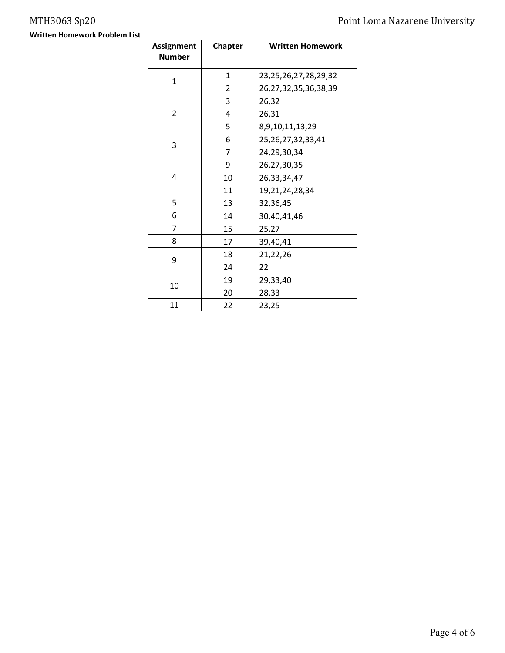**Written Homework Problem List**

| <b>Assignment</b> | <b>Chapter</b> | <b>Written Homework</b>    |  |  |  |  |
|-------------------|----------------|----------------------------|--|--|--|--|
| <b>Number</b>     |                |                            |  |  |  |  |
| $\mathbf 1$       | 1              | 23, 25, 26, 27, 28, 29, 32 |  |  |  |  |
|                   | $\overline{2}$ | 26, 27, 32, 35, 36, 38, 39 |  |  |  |  |
|                   | 3              | 26,32                      |  |  |  |  |
| 2                 | 4              | 26,31                      |  |  |  |  |
|                   | 5              | 8,9,10,11,13,29            |  |  |  |  |
| 3                 | 6              | 25, 26, 27, 32, 33, 41     |  |  |  |  |
|                   | 7              | 24,29,30,34                |  |  |  |  |
|                   | 9              | 26,27,30,35                |  |  |  |  |
| 4                 | 10             | 26,33,34,47                |  |  |  |  |
|                   | 11             | 19,21,24,28,34             |  |  |  |  |
| 5                 | 13             | 32,36,45                   |  |  |  |  |
| 6                 | 14             | 30,40,41,46                |  |  |  |  |
| 7                 | 15             | 25,27                      |  |  |  |  |
| 8                 | 17             | 39,40,41                   |  |  |  |  |
| 9                 | 18             | 21,22,26                   |  |  |  |  |
|                   | 24             | 22                         |  |  |  |  |
| 10                | 19             | 29,33,40                   |  |  |  |  |
|                   | 20             | 28,33                      |  |  |  |  |
| 11                | 22             | 23,25                      |  |  |  |  |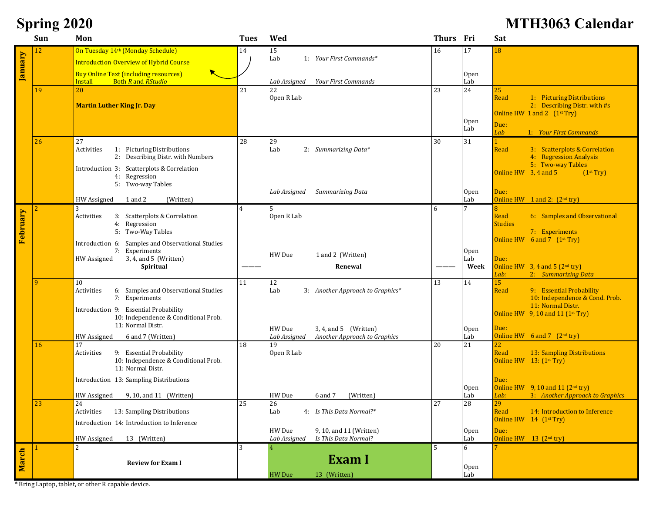# **Spring 2020 MTH3063 Calendar**

|          | Sun | Mon                                                                  | <b>Tues</b>    | Wed                                                                       | Thurs Fri |                         | Sat                                                                              |
|----------|-----|----------------------------------------------------------------------|----------------|---------------------------------------------------------------------------|-----------|-------------------------|----------------------------------------------------------------------------------|
|          | 12  | On Tuesday 14th (Monday Schedule)                                    | 14             | 15                                                                        | 16        | 17                      | 18                                                                               |
|          |     | <b>Introduction Overview of Hybrid Course</b>                        |                | Lab<br>1: Your First Commands*                                            |           |                         |                                                                                  |
| January  |     | <b>Buy Online Text (including resources)</b>                         |                |                                                                           |           | <b>Open</b>             |                                                                                  |
|          |     | <b>Install</b><br><b>Both R</b> and RStudio                          |                | <b>Your First Commands</b><br>Lab Assigned                                |           | Lab                     |                                                                                  |
|          | 19  | 20                                                                   | 21             | 22<br>Open R Lab                                                          | 23        | 24                      | 25                                                                               |
|          |     | <b>Martin Luther King Jr. Day</b>                                    |                |                                                                           |           |                         | Read<br>1: Picturing Distributions<br>2: Describing Distr. with #s               |
|          |     |                                                                      |                |                                                                           |           |                         | Online HW $1$ and $2$ $(1st Try)$                                                |
|          |     |                                                                      |                |                                                                           |           | Open<br>Lab             | Due:                                                                             |
|          |     |                                                                      |                |                                                                           |           |                         | Lab<br>1: Your First Commands                                                    |
|          | 26  | 27<br>Activities<br>1: Picturing Distributions                       | 28             | 29<br>Lab<br>2: Summarizing Data*                                         | 30        | 31                      | Read<br>3: Scatterplots & Correlation                                            |
|          |     | 2: Describing Distr. with Numbers                                    |                |                                                                           |           |                         | 4: Regression Analysis                                                           |
|          |     | Introduction 3: Scatterplots & Correlation                           |                |                                                                           |           |                         | 5: Two-way Tables                                                                |
|          |     | Regression<br>4:                                                     |                |                                                                           |           |                         | Online $HW$ 3, 4 and 5<br>(1 <sup>st</sup> Try)                                  |
|          |     | 5: Two-way Tables                                                    |                | Summarizing Data<br>Lab Assigned                                          |           | <b>Open</b>             | Due:                                                                             |
|          |     | 1 and 2<br>HW Assigned<br>(Written)                                  |                |                                                                           |           | Lab                     | Online HW $1$ and 2: $(2nd try)$                                                 |
|          |     | 3                                                                    | $\overline{A}$ |                                                                           | 6         | $\overline{7}$          |                                                                                  |
|          |     | Activities<br>3: Scatterplots & Correlation<br>4: Regression         |                | Open R Lab                                                                |           |                         | Read<br>6: Samples and Observational<br><b>Studies</b>                           |
| February |     | 5: Two-Way Tables                                                    |                |                                                                           |           |                         | 7: Experiments                                                                   |
|          |     | Samples and Observational Studies<br>Introduction 6:                 |                |                                                                           |           |                         | Online HW $6$ and $7$ $(1^{st}$ Try)                                             |
|          |     | 7: Experiments                                                       |                | HW Due<br>1 and 2 (Written)                                               |           | Open                    |                                                                                  |
|          |     | 3, 4, and 5 (Written)<br><b>HW</b> Assigned<br>Spiritual             |                | Renewal                                                                   |           | Lab<br>Week             | Due:<br>Online HW $3, 4$ and $5$ ( $2nd$ try)                                    |
|          |     |                                                                      |                |                                                                           |           |                         | Lab:<br>2: Summarizing Data                                                      |
|          | -9  | 10                                                                   | 11             | 12                                                                        | 13        | 14                      | 15                                                                               |
|          |     | 6: Samples and Observational Studies<br>Activities<br>7: Experiments |                | Lab<br>3: Another Approach to Graphics*                                   |           |                         | 9: Essential Probability<br>Read<br>10: Independence & Cond. Prob.               |
|          |     | Introduction 9: Essential Probability                                |                |                                                                           |           |                         | 11: Normal Distr.                                                                |
|          |     | 10: Independence & Conditional Prob.                                 |                |                                                                           |           |                         | Online HW $9, 10$ and 11 (1 <sup>st</sup> Try)                                   |
|          |     | 11: Normal Distr.                                                    |                | HW Due<br>3, 4, and 5 (Written)                                           |           | <b>Open</b>             | Due:                                                                             |
|          |     | <b>HW</b> Assigned<br>6 and 7 (Written)                              |                | Lab Assigned<br>Another Approach to Graphics                              |           | Lab                     | Online HW $6$ and $7$ $(2^{nd}$ try)                                             |
|          | 16  | 17<br>9: Essential Probability<br>Activities                         | 18             | 19<br>Open R Lab                                                          | 20        | 21                      | 22<br>Read<br>13: Sampling Distributions                                         |
|          |     | 10: Independence & Conditional Prob.                                 |                |                                                                           |           |                         | Online HW 13: (1 <sup>st</sup> Try)                                              |
|          |     | 11: Normal Distr.                                                    |                |                                                                           |           |                         |                                                                                  |
|          |     | Introduction 13: Sampling Distributions                              |                |                                                                           |           |                         | Due:                                                                             |
|          |     | HW Assigned<br>9, 10, and 11 (Written)                               |                | HW Due<br>(Written)<br>6 and 7                                            |           | 0 <sub>pen</sub><br>Lab | Online HW $9, 10$ and 11 ( $2nd$ try)<br>Lab:<br>3: Another Approach to Graphics |
|          | 23  | 24                                                                   | 25             | 26                                                                        | 27        | 28                      | 29                                                                               |
|          |     | Activities<br>13: Sampling Distributions                             |                | 4: Is This Data Normal?*<br>Lab                                           |           |                         | Read<br>14: Introduction to Inference                                            |
|          |     | Introduction 14: Introduction to Inference                           |                |                                                                           |           |                         | Online HW 14 (1 <sup>st</sup> Try)                                               |
|          |     | <b>HW</b> Assigned<br>13 (Written)                                   |                | HW Due<br>9, 10, and 11 (Written)<br>Is This Data Normal?<br>Lab Assigned |           | <b>Open</b><br>Lab      | Due:<br>Online HW 13 (2 <sup>nd</sup> try)                                       |
|          |     | $\mathcal{P}$                                                        | 3              |                                                                           | 5         | 6                       |                                                                                  |
| March    |     |                                                                      |                | <b>Exam I</b>                                                             |           |                         |                                                                                  |
|          |     | <b>Review for Exam I</b>                                             |                |                                                                           |           | Open                    |                                                                                  |
|          |     |                                                                      |                | HW Due<br>13 (Written)                                                    |           | Lab                     |                                                                                  |

\* Bring Laptop, tablet, or other R capable device.